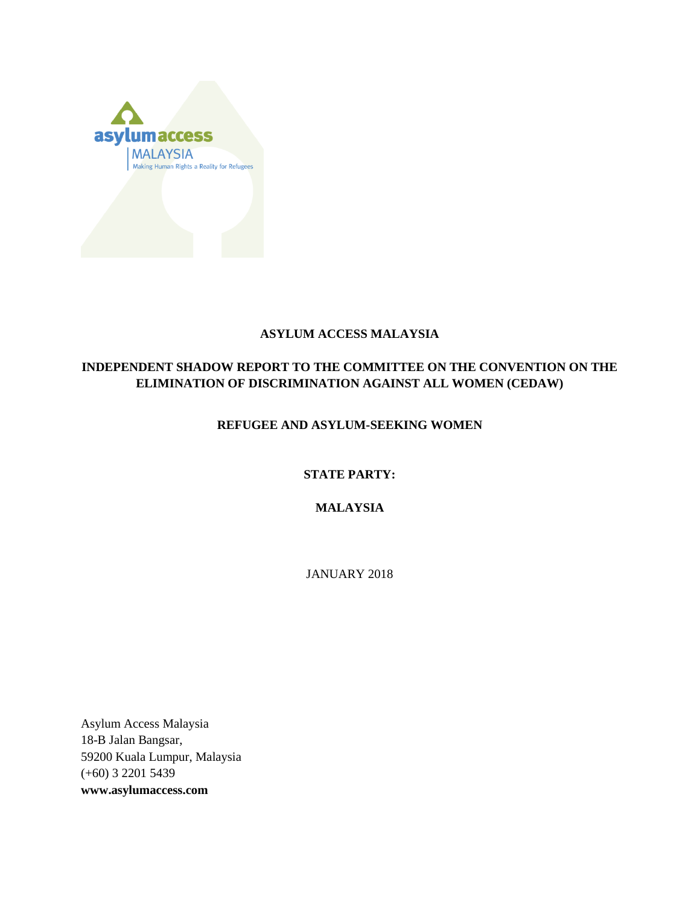

### **ASYLUM ACCESS MALAYSIA**

### **INDEPENDENT SHADOW REPORT TO THE COMMITTEE ON THE CONVENTION ON THE ELIMINATION OF DISCRIMINATION AGAINST ALL WOMEN (CEDAW)**

### **REFUGEE AND ASYLUM-SEEKING WOMEN**

### **STATE PARTY:**

### **MALAYSIA**

JANUARY 2018

Asylum Access Malaysia 18-B Jalan Bangsar, 59200 Kuala Lumpur, Malaysia (+60) 3 2201 5439 **[www.asylumaccess.com](mailto:deepa.namibar@asylumaccess.org)**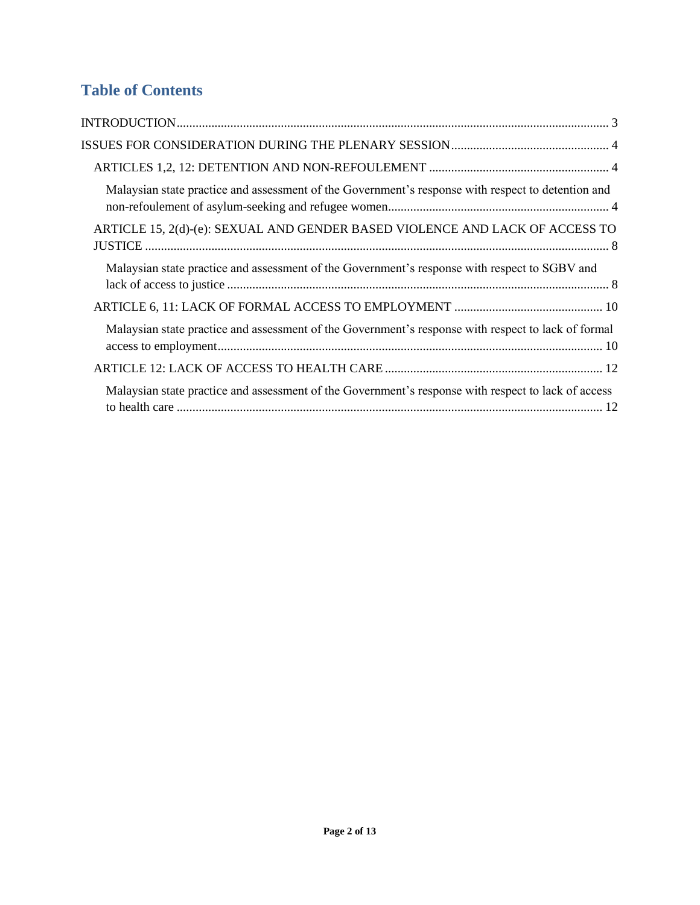# **Table of Contents**

| Malaysian state practice and assessment of the Government's response with respect to detention and  |
|-----------------------------------------------------------------------------------------------------|
| ARTICLE 15, 2(d)-(e): SEXUAL AND GENDER BASED VIOLENCE AND LACK OF ACCESS TO                        |
| Malaysian state practice and assessment of the Government's response with respect to SGBV and       |
|                                                                                                     |
| Malaysian state practice and assessment of the Government's response with respect to lack of formal |
|                                                                                                     |
| Malaysian state practice and assessment of the Government's response with respect to lack of access |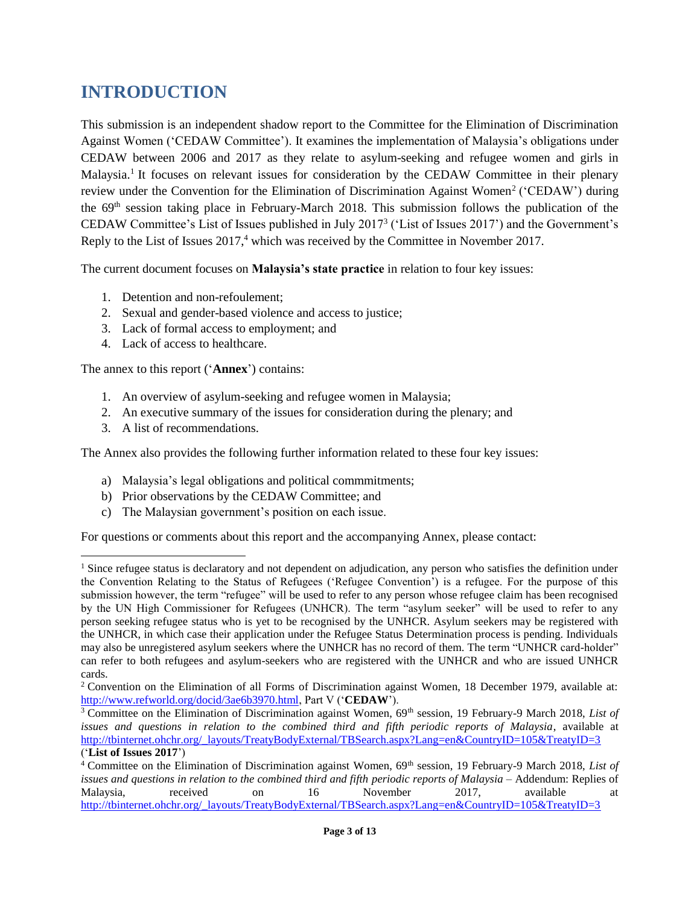# **INTRODUCTION**

This submission is an independent shadow report to the Committee for the Elimination of Discrimination Against Women ('CEDAW Committee'). It examines the implementation of Malaysia's obligations under CEDAW between 2006 and 2017 as they relate to asylum-seeking and refugee women and girls in Malaysia.<sup>1</sup> It focuses on relevant issues for consideration by the CEDAW Committee in their plenary review under the Convention for the Elimination of Discrimination Against Women<sup>2</sup> ('CEDAW') during the 69th session taking place in February-March 2018. This submission follows the publication of the CEDAW Committee's List of Issues published in July 2017<sup>3</sup> ('List of Issues 2017') and the Government's Reply to the List of Issues 2017, <sup>4</sup> which was received by the Committee in November 2017.

The current document focuses on **Malaysia's state practice** in relation to four key issues:

- 1. Detention and non-refoulement;
- 2. Sexual and gender-based violence and access to justice;
- 3. Lack of formal access to employment; and
- 4. Lack of access to healthcare.

The annex to this report ('**Annex**') contains:

- 1. An overview of asylum-seeking and refugee women in Malaysia;
- 2. An executive summary of the issues for consideration during the plenary; and
- 3. A list of recommendations.

 $\overline{a}$ 

The Annex also provides the following further information related to these four key issues:

- a) Malaysia's legal obligations and political commmitments;
- b) Prior observations by the CEDAW Committee; and
- c) The Malaysian government's position on each issue.

For questions or comments about this report and the accompanying Annex, please contact:

 $<sup>1</sup>$  Since refugee status is declaratory and not dependent on adjudication, any person who satisfies the definition under</sup> the Convention Relating to the Status of Refugees ('Refugee Convention') is a refugee. For the purpose of this submission however, the term "refugee" will be used to refer to any person whose refugee claim has been recognised by the UN High Commissioner for Refugees (UNHCR). The term "asylum seeker" will be used to refer to any person seeking refugee status who is yet to be recognised by the UNHCR. Asylum seekers may be registered with the UNHCR, in which case their application under the Refugee Status Determination process is pending. Individuals may also be unregistered asylum seekers where the UNHCR has no record of them. The term "UNHCR card-holder" can refer to both refugees and asylum-seekers who are registered with the UNHCR and who are issued UNHCR cards.

<sup>&</sup>lt;sup>2</sup> Convention on the Elimination of all Forms of Discrimination against Women, 18 December 1979, available at: [http://www.refworld.org/docid/3ae6b3970.html,](http://www.refworld.org/docid/3ae6b3970.html) Part V ('**CEDAW**').

<sup>&</sup>lt;sup>3</sup> Committee on the Elimination of Discrimination against Women, 69<sup>th</sup> session, 19 February-9 March 2018, *List of issues and questions in relation to the combined third and fifth periodic reports of Malaysia*, available at [http://tbinternet.ohchr.org/\\_layouts/TreatyBodyExternal/TBSearch.aspx?Lang=en&CountryID=105&TreatyID=3](http://tbinternet.ohchr.org/_layouts/TreatyBodyExternal/TBSearch.aspx?Lang=en&CountryID=105&TreatyID=3) ('**List of Issues 2017**')

<sup>&</sup>lt;sup>4</sup> Committee on the Elimination of Discrimination against Women, 69<sup>th</sup> session, 19 February-9 March 2018, *List of issues and questions in relation to the combined third and fifth periodic reports of Malaysia* – Addendum: Replies of Malaysia, received on 16 November 2017, available at [http://tbinternet.ohchr.org/\\_layouts/TreatyBodyExternal/TBSearch.aspx?Lang=en&CountryID=105&TreatyID=3](http://tbinternet.ohchr.org/_layouts/TreatyBodyExternal/TBSearch.aspx?Lang=en&CountryID=105&TreatyID=3)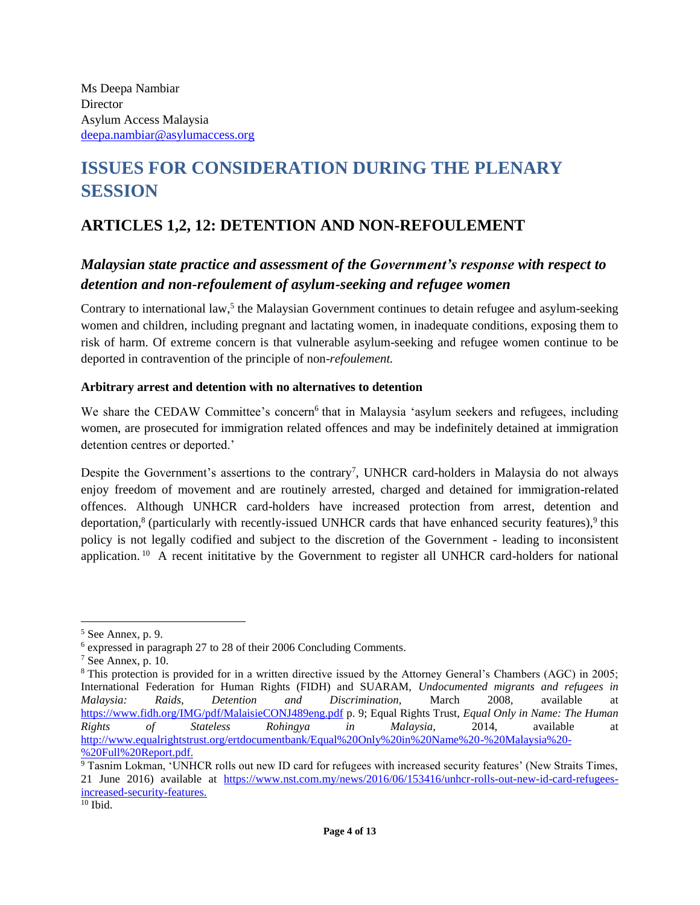# **ISSUES FOR CONSIDERATION DURING THE PLENARY SESSION**

# **ARTICLES 1,2, 12: DETENTION AND NON-REFOULEMENT**

## *Malaysian state practice and assessment of the Government's response with respect to detention and non-refoulement of asylum-seeking and refugee women*

Contrary to international law,<sup>5</sup> the Malaysian Government continues to detain refugee and asylum-seeking women and children, including pregnant and lactating women, in inadequate conditions, exposing them to risk of harm. Of extreme concern is that vulnerable asylum-seeking and refugee women continue to be deported in contravention of the principle of non-*refoulement.*

### **Arbitrary arrest and detention with no alternatives to detention**

We share the CEDAW Committee's concern<sup>6</sup> that in Malaysia 'asylum seekers and refugees, including women, are prosecuted for immigration related offences and may be indefinitely detained at immigration detention centres or deported.'

Despite the Government's assertions to the contrary<sup>7</sup>, UNHCR card-holders in Malaysia do not always enjoy freedom of movement and are routinely arrested, charged and detained for immigration-related offences. Although UNHCR card-holders have increased protection from arrest, detention and deportation,<sup>8</sup> (particularly with recently-issued UNHCR cards that have enhanced security features),<sup>9</sup> this policy is not legally codified and subject to the discretion of the Government - leading to inconsistent application.<sup>10</sup> A recent inititative by the Government to register all UNHCR card-holders for national

<sup>5</sup> See Annex, p. 9.

<sup>6</sup> expressed in paragraph 27 to 28 of their 2006 Concluding Comments.

 $7$  See Annex, p. 10.

<sup>8</sup> This protection is provided for in a written directive issued by the Attorney General's Chambers (AGC) in 2005; International Federation for Human Rights (FIDH) and SUARAM, *Undocumented migrants and refugees in Malaysia: Raids, Detention and Discrimination,* March 2008, available at <https://www.fidh.org/IMG/pdf/MalaisieCONJ489eng.pdf> p. 9; Equal Rights Trust, *Equal Only in Name: The Human Rights of Stateless Rohingya in Malaysia,* 2014, available at [http://www.equalrightstrust.org/ertdocumentbank/Equal%20Only%20in%20Name%20-%20Malaysia%20-](http://www.equalrightstrust.org/ertdocumentbank/Equal%20Only%20in%20Name%20-%20Malaysia%20-%20Full%20Report.pdf) [%20Full%20Report.pdf.](http://www.equalrightstrust.org/ertdocumentbank/Equal%20Only%20in%20Name%20-%20Malaysia%20-%20Full%20Report.pdf)

<sup>&</sup>lt;sup>9</sup> Tasnim Lokman, 'UNHCR rolls out new ID card for refugees with increased security features' (New Straits Times, 21 June 2016) available at [https://www.nst.com.my/news/2016/06/153416/unhcr-rolls-out-new-id-card-refugees](https://www.nst.com.my/news/2016/06/153416/unhcr-rolls-out-new-id-card-refugees-increased-security-features)[increased-security-features.](https://www.nst.com.my/news/2016/06/153416/unhcr-rolls-out-new-id-card-refugees-increased-security-features)

 $10$  Ibid.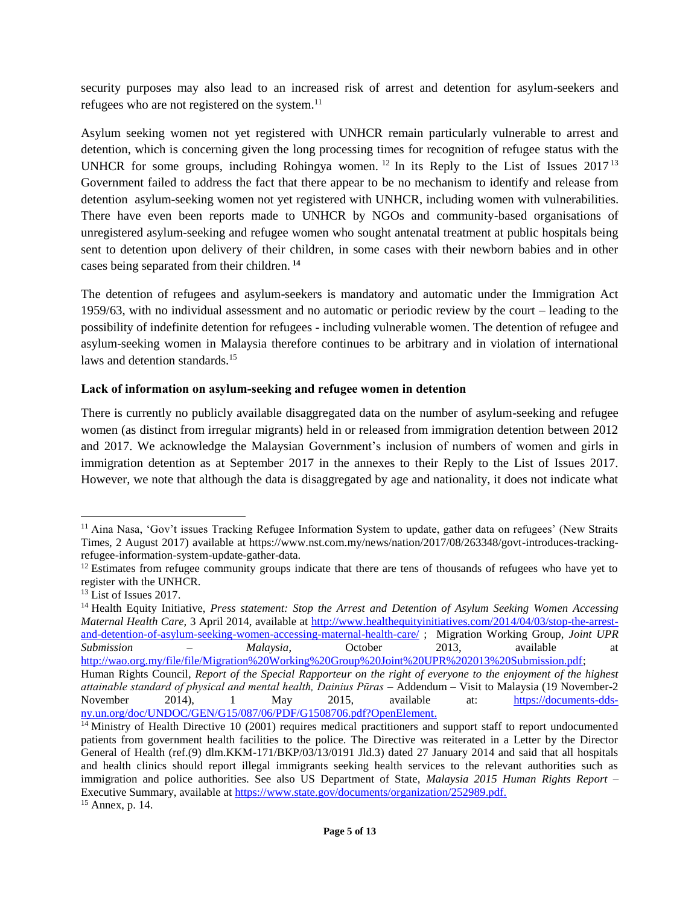security purposes may also lead to an increased risk of arrest and detention for asylum-seekers and refugees who are not registered on the system.<sup>11</sup>

Asylum seeking women not yet registered with UNHCR remain particularly vulnerable to arrest and detention, which is concerning given the long processing times for recognition of refugee status with the UNHCR for some groups, including Rohingya women.<sup>12</sup> In its Reply to the List of Issues 2017<sup>13</sup> Government failed to address the fact that there appear to be no mechanism to identify and release from detention asylum-seeking women not yet registered with UNHCR, including women with vulnerabilities. There have even been reports made to UNHCR by NGOs and community-based organisations of unregistered asylum-seeking and refugee women who sought antenatal treatment at public hospitals being sent to detention upon delivery of their children, in some cases with their newborn babies and in other cases being separated from their children. **<sup>14</sup>**

The detention of refugees and asylum-seekers is mandatory and automatic under the Immigration Act 1959/63, with no individual assessment and no automatic or periodic review by the court – leading to the possibility of indefinite detention for refugees - including vulnerable women. The detention of refugee and asylum-seeking women in Malaysia therefore continues to be arbitrary and in violation of international laws and detention standards.<sup>15</sup>

#### **Lack of information on asylum-seeking and refugee women in detention**

There is currently no publicly available disaggregated data on the number of asylum-seeking and refugee women (as distinct from irregular migrants) held in or released from immigration detention between 2012 and 2017. We acknowledge the Malaysian Government's inclusion of numbers of women and girls in immigration detention as at September 2017 in the annexes to their Reply to the List of Issues 2017. However, we note that although the data is disaggregated by age and nationality, it does not indicate what

 $\overline{a}$ 

<sup>&</sup>lt;sup>11</sup> Aina Nasa, 'Gov't issues Tracking Refugee Information System to update, gather data on refugees' (New Straits Times, 2 August 2017) available at https://www.nst.com.my/news/nation/2017/08/263348/govt-introduces-trackingrefugee-information-system-update-gather-data.

 $12$  Estimates from refugee community groups indicate that there are tens of thousands of refugees who have yet to register with the UNHCR.

<sup>&</sup>lt;sup>13</sup> List of Issues 2017.

<sup>14</sup> Health Equity Initiative, *Press statement: Stop the Arrest and Detention of Asylum Seeking Women Accessing Maternal Health Care,* 3 April 2014, available at [http://www.healthequityinitiatives.com/2014/04/03/stop-the-arrest](http://www.healthequityinitiatives.com/2014/04/03/stop-the-arrest-and-detention-of-asylum-seeking-women-accessing-maternal-health-care/)[and-detention-of-asylum-seeking-women-accessing-maternal-health-care/](http://www.healthequityinitiatives.com/2014/04/03/stop-the-arrest-and-detention-of-asylum-seeking-women-accessing-maternal-health-care/) ; Migration Working Group, *Joint UPR Submission – Malaysia*, October 2013, available at [http://wao.org.my/file/file/Migration%20Working%20Group%20Joint%20UPR%202013%20Submission.pdf;](http://wao.org.my/file/file/Migration%20Working%20Group%20Joint%20UPR%202013%20Submission.pdf)

Human Rights Council*, Report of the Special Rapporteur on the right of everyone to the enjoyment of the highest attainable standard of physical and mental health, Dainius Pūras* – Addendum – Visit to Malaysia (19 November-2 November 2014), 1 May 2015, available at: [https://documents-dds](https://documents-dds-ny.un.org/doc/UNDOC/GEN/G15/087/06/PDF/G1508706.pdf?OpenElement)[ny.un.org/doc/UNDOC/GEN/G15/087/06/PDF/G1508706.pdf?OpenElement.](https://documents-dds-ny.un.org/doc/UNDOC/GEN/G15/087/06/PDF/G1508706.pdf?OpenElement)

<sup>&</sup>lt;sup>14</sup> Ministry of Health Directive 10 (2001) requires medical practitioners and support staff to report undocumented patients from government health facilities to the police. The Directive was reiterated in a Letter by the Director General of Health (ref.(9) dlm.KKM-171/BKP/03/13/0191 Jld.3) dated 27 January 2014 and said that all hospitals and health clinics should report illegal immigrants seeking health services to the relevant authorities such as immigration and police authorities. See also US Department of State, *Malaysia 2015 Human Rights Report –* Executive Summary, available at [https://www.state.gov/documents/organization/252989.pdf.](https://www.state.gov/documents/organization/252989.pdf) <sup>15</sup> Annex, p. 14.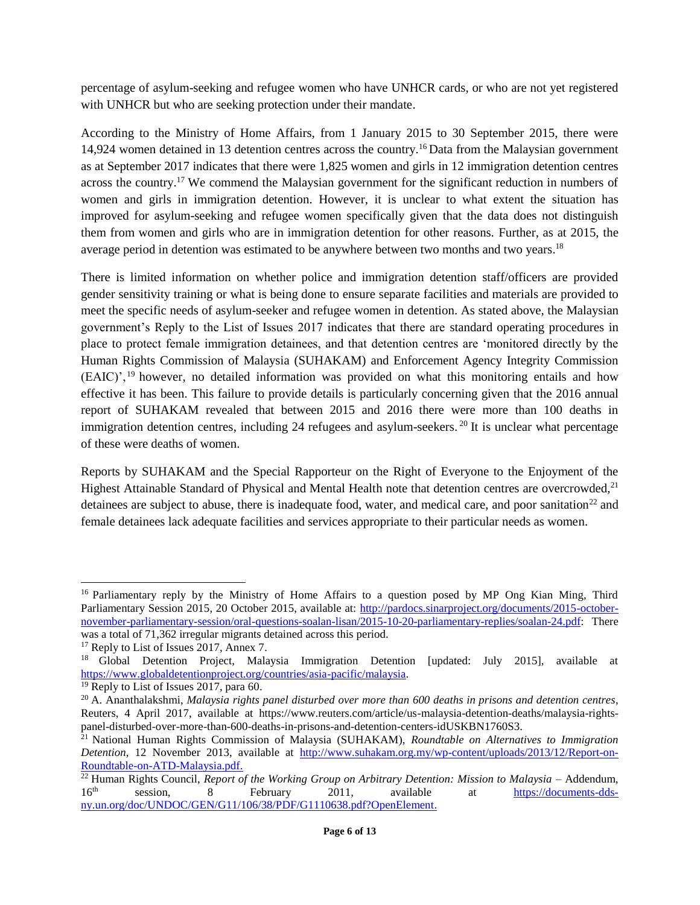percentage of asylum-seeking and refugee women who have UNHCR cards, or who are not yet registered with UNHCR but who are seeking protection under their mandate.

According to the Ministry of Home Affairs, from 1 January 2015 to 30 September 2015, there were 14,924 women detained in 13 detention centres across the country.<sup>16</sup> Data from the Malaysian government as at September 2017 indicates that there were 1,825 women and girls in 12 immigration detention centres across the country.<sup>17</sup> We commend the Malaysian government for the significant reduction in numbers of women and girls in immigration detention. However, it is unclear to what extent the situation has improved for asylum-seeking and refugee women specifically given that the data does not distinguish them from women and girls who are in immigration detention for other reasons. Further, as at 2015, the average period in detention was estimated to be anywhere between two months and two years.<sup>18</sup>

There is limited information on whether police and immigration detention staff/officers are provided gender sensitivity training or what is being done to ensure separate facilities and materials are provided to meet the specific needs of asylum-seeker and refugee women in detention. As stated above, the Malaysian government's Reply to the List of Issues 2017 indicates that there are standard operating procedures in place to protect female immigration detainees, and that detention centres are 'monitored directly by the Human Rights Commission of Malaysia (SUHAKAM) and Enforcement Agency Integrity Commission (EAIC)', <sup>19</sup> however, no detailed information was provided on what this monitoring entails and how effective it has been. This failure to provide details is particularly concerning given that the 2016 annual report of SUHAKAM revealed that between 2015 and 2016 there were more than 100 deaths in immigration detention centres, including 24 refugees and asylum-seekers.<sup>20</sup> It is unclear what percentage of these were deaths of women.

Reports by SUHAKAM and the Special Rapporteur on the Right of Everyone to the Enjoyment of the Highest Attainable Standard of Physical and Mental Health note that detention centres are overcrowded,<sup>21</sup> detainees are subject to abuse, there is inadequate food, water, and medical care, and poor sanitation<sup>22</sup> and female detainees lack adequate facilities and services appropriate to their particular needs as women.

<sup>&</sup>lt;sup>16</sup> Parliamentary reply by the Ministry of Home Affairs to a question posed by MP Ong Kian Ming, Third Parliamentary Session 2015, 20 October 2015, available at: [http://pardocs.sinarproject.org/documents/2015-october](http://pardocs.sinarproject.org/documents/2015-october-november-parliamentary-session/oral-questions-soalan-lisan/2015-10-20-parliamentary-replies/soalan-24.pdf)[november-parliamentary-session/oral-questions-soalan-lisan/2015-10-20-parliamentary-replies/soalan-24.pdf:](http://pardocs.sinarproject.org/documents/2015-october-november-parliamentary-session/oral-questions-soalan-lisan/2015-10-20-parliamentary-replies/soalan-24.pdf) There was a total of 71,362 irregular migrants detained across this period.

<sup>&</sup>lt;sup>17</sup> Reply to List of Issues 2017, Annex 7.

<sup>&</sup>lt;sup>18</sup> Global Detention Project, Malaysia Immigration Detention [updated: July 2015], available at [https://www.globaldetentionproject.org/countries/asia-pacific/malaysia.](https://www.globaldetentionproject.org/countries/asia-pacific/malaysia)

<sup>&</sup>lt;sup>19</sup> Reply to List of Issues 2017, para 60.

<sup>20</sup> A. Ananthalakshmi, *Malaysia rights panel disturbed over more than 600 deaths in prisons and detention centres*, Reuters, 4 April 2017, available at https://www.reuters.com/article/us-malaysia-detention-deaths/malaysia-rightspanel-disturbed-over-more-than-600-deaths-in-prisons-and-detention-centers-idUSKBN1760S3.

<sup>21</sup> National Human Rights Commission of Malaysia (SUHAKAM), *Roundtable on Alternatives to Immigration Detention*, 12 November 2013, available at [http://www.suhakam.org.my/wp-content/uploads/2013/12/Report-on-](http://www.suhakam.org.my/wp-content/uploads/2013/12/Report-on-Roundtable-on-ATD-Malaysia.pdf)[Roundtable-on-ATD-Malaysia.pdf.](http://www.suhakam.org.my/wp-content/uploads/2013/12/Report-on-Roundtable-on-ATD-Malaysia.pdf)

<sup>22</sup> Human Rights Council, *Report of the Working Group on Arbitrary Detention: Mission to Malaysia –* Addendum, 16th session, 8 February 2011, available at [https://documents-dds](https://documents-dds-ny.un.org/doc/UNDOC/GEN/G11/106/38/PDF/G1110638.pdf?OpenElement)[ny.un.org/doc/UNDOC/GEN/G11/106/38/PDF/G1110638.pdf?OpenElement.](https://documents-dds-ny.un.org/doc/UNDOC/GEN/G11/106/38/PDF/G1110638.pdf?OpenElement)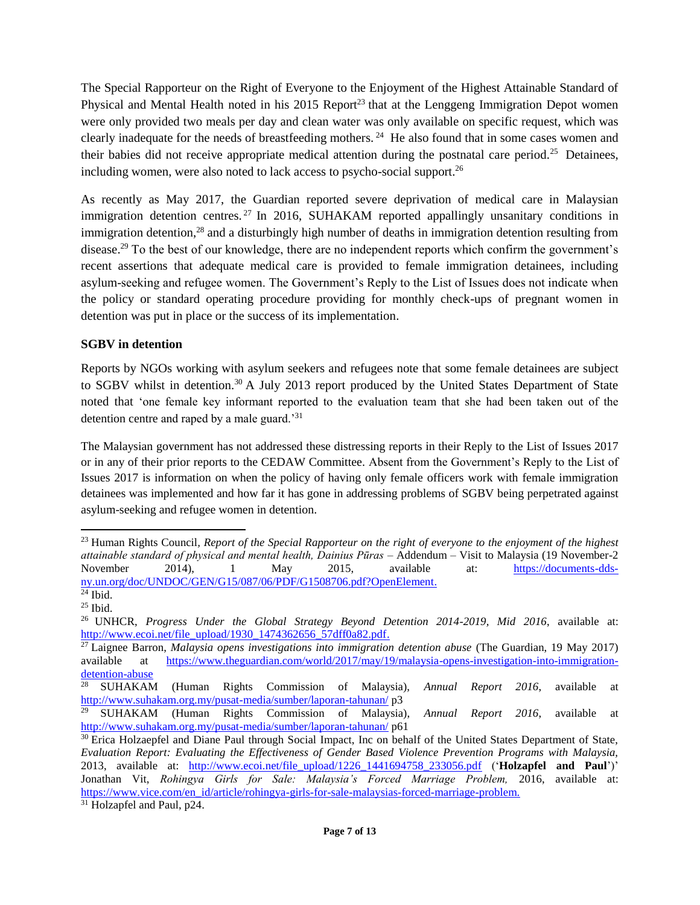The Special Rapporteur on the Right of Everyone to the Enjoyment of the Highest Attainable Standard of Physical and Mental Health noted in his  $2015$  Report<sup>23</sup> that at the Lenggeng Immigration Depot women were only provided two meals per day and clean water was only available on specific request, which was clearly inadequate for the needs of breastfeeding mothers. <sup>24</sup> He also found that in some cases women and their babies did not receive appropriate medical attention during the postnatal care period.<sup>25</sup> Detainees, including women, were also noted to lack access to psycho-social support.<sup>26</sup>

As recently as May 2017, the Guardian reported severe deprivation of medical care in Malaysian immigration detention centres.<sup>27</sup> In 2016, SUHAKAM reported appallingly unsanitary conditions in immigration detention,<sup>28</sup> and a disturbingly high number of deaths in immigration detention resulting from disease.<sup>29</sup> To the best of our knowledge, there are no independent reports which confirm the government's recent assertions that adequate medical care is provided to female immigration detainees, including asylum-seeking and refugee women. The Government's Reply to the List of Issues does not indicate when the policy or standard operating procedure providing for monthly check-ups of pregnant women in detention was put in place or the success of its implementation.

#### **SGBV in detention**

Reports by NGOs working with asylum seekers and refugees note that some female detainees are subject to SGBV whilst in detention.<sup>30</sup> A July 2013 report produced by the United States Department of State noted that 'one female key informant reported to the evaluation team that she had been taken out of the detention centre and raped by a male guard.'<sup>31</sup>

The Malaysian government has not addressed these distressing reports in their Reply to the List of Issues 2017 or in any of their prior reports to the CEDAW Committee. Absent from the Government's Reply to the List of Issues 2017 is information on when the policy of having only female officers work with female immigration detainees was implemented and how far it has gone in addressing problems of SGBV being perpetrated against asylum-seeking and refugee women in detention.

<sup>23</sup> Human Rights Council*, Report of the Special Rapporteur on the right of everyone to the enjoyment of the highest attainable standard of physical and mental health, Dainius Pūras* – Addendum – Visit to Malaysia (19 November-2 November 2014), 1 May 2015, available at: [https://documents-dds](https://documents-dds-ny.un.org/doc/UNDOC/GEN/G15/087/06/PDF/G1508706.pdf?OpenElement)[ny.un.org/doc/UNDOC/GEN/G15/087/06/PDF/G1508706.pdf?OpenElement.](https://documents-dds-ny.un.org/doc/UNDOC/GEN/G15/087/06/PDF/G1508706.pdf?OpenElement)

 $24$  Ibid.  $25$  Ibid.

<sup>26</sup> UNHCR, *Progress Under the Global Strategy Beyond Detention 2014-2019, Mid 2016*, available at: [http://www.ecoi.net/file\\_upload/1930\\_1474362656\\_57dff0a82.pdf.](http://www.ecoi.net/file_upload/1930_1474362656_57dff0a82.pdf)

<sup>&</sup>lt;sup>27</sup> Laignee Barron, *Malaysia opens investigations into immigration detention abuse* (The Guardian, 19 May 2017) available at [https://www.theguardian.com/world/2017/may/19/malaysia-opens-investigation-into-immigration](https://www.theguardian.com/world/2017/may/19/malaysia-opens-investigation-into-immigration-detention-abuse)[detention-abuse](https://www.theguardian.com/world/2017/may/19/malaysia-opens-investigation-into-immigration-detention-abuse)

<sup>28</sup> SUHAKAM (Human Rights Commission of Malaysia), *Annual Report 2016*, available at <http://www.suhakam.org.my/pusat-media/sumber/laporan-tahunan/> p3<br><sup>29</sup> SUHAKAM (Human Rights Commission of Malaysia)

<sup>29</sup> SUHAKAM (Human Rights Commission of Malaysia), *Annual Report 2016*, available at <http://www.suhakam.org.my/pusat-media/sumber/laporan-tahunan/> p61

<sup>&</sup>lt;sup>30</sup> Erica Holzaepfel and Diane Paul through Social Impact, Inc on behalf of the United States Department of State, *Evaluation Report: Evaluating the Effectiveness of Gender Based Violence Prevention Programs with Malaysia,* 2013, available at: [http://www.ecoi.net/file\\_upload/1226\\_1441694758\\_233056.pdf](http://www.ecoi.net/file_upload/1226_1441694758_233056.pdf) ('**Holzapfel and Paul**')' Jonathan Vit, *Rohingya Girls for Sale: Malaysia's Forced Marriage Problem,* 2016, available at: [https://www.vice.com/en\\_id/article/rohingya-girls-for-sale-malaysias-forced-marriage-problem.](https://www.vice.com/en_id/article/rohingya-girls-for-sale-malaysias-forced-marriage-problem)

<sup>&</sup>lt;sup>31</sup> Holzapfel and Paul, p24.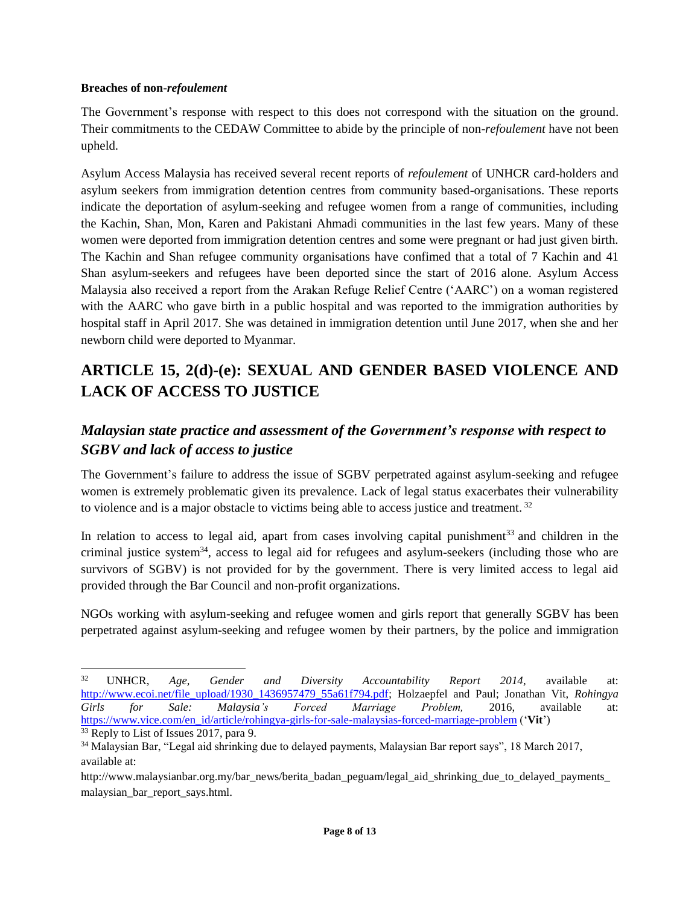#### **Breaches of non-***refoulement*

The Government's response with respect to this does not correspond with the situation on the ground. Their commitments to the CEDAW Committee to abide by the principle of non-*refoulement* have not been upheld.

Asylum Access Malaysia has received several recent reports of *refoulement* of UNHCR card-holders and asylum seekers from immigration detention centres from community based-organisations. These reports indicate the deportation of asylum-seeking and refugee women from a range of communities, including the Kachin, Shan, Mon, Karen and Pakistani Ahmadi communities in the last few years. Many of these women were deported from immigration detention centres and some were pregnant or had just given birth. The Kachin and Shan refugee community organisations have confimed that a total of 7 Kachin and 41 Shan asylum-seekers and refugees have been deported since the start of 2016 alone. Asylum Access Malaysia also received a report from the Arakan Refuge Relief Centre ('AARC') on a woman registered with the AARC who gave birth in a public hospital and was reported to the immigration authorities by hospital staff in April 2017. She was detained in immigration detention until June 2017, when she and her newborn child were deported to Myanmar.

# **ARTICLE 15, 2(d)-(e): SEXUAL AND GENDER BASED VIOLENCE AND LACK OF ACCESS TO JUSTICE**

# *Malaysian state practice and assessment of the Government's response with respect to SGBV and lack of access to justice*

The Government's failure to address the issue of SGBV perpetrated against asylum-seeking and refugee women is extremely problematic given its prevalence. Lack of legal status exacerbates their vulnerability to violence and is a major obstacle to victims being able to access justice and treatment.<sup>32</sup>

In relation to access to legal aid, apart from cases involving capital punishment<sup>33</sup> and children in the criminal justice system<sup>34</sup>, access to legal aid for refugees and asylum-seekers (including those who are survivors of SGBV) is not provided for by the government. There is very limited access to legal aid provided through the Bar Council and non-profit organizations.

NGOs working with asylum-seeking and refugee women and girls report that generally SGBV has been perpetrated against asylum-seeking and refugee women by their partners, by the police and immigration

<sup>32</sup> UNHCR, *Age, Gender and Diversity Accountability Report 2014*, available at: [http://www.ecoi.net/file\\_upload/1930\\_1436957479\\_55a61f794.pdf;](http://www.ecoi.net/file_upload/1930_1436957479_55a61f794.pdf) Holzaepfel and Paul; Jonathan Vit, *Rohingya Girls for Sale: Malaysia's Forced Marriage Problem,* 2016, available at: [https://www.vice.com/en\\_id/article/rohingya-girls-for-sale-malaysias-forced-marriage-problem](https://www.vice.com/en_id/article/rohingya-girls-for-sale-malaysias-forced-marriage-problem) ('**Vit**')

 $33$  Reply to List of Issues 2017, para 9.

<sup>34</sup> Malaysian Bar, "Legal aid shrinking due to delayed payments, Malaysian Bar report says", 18 March 2017, available at:

http://www.malaysianbar.org.my/bar\_news/berita\_badan\_peguam/legal\_aid\_shrinking\_due\_to\_delayed\_payments\_ malaysian\_bar\_report\_says.html.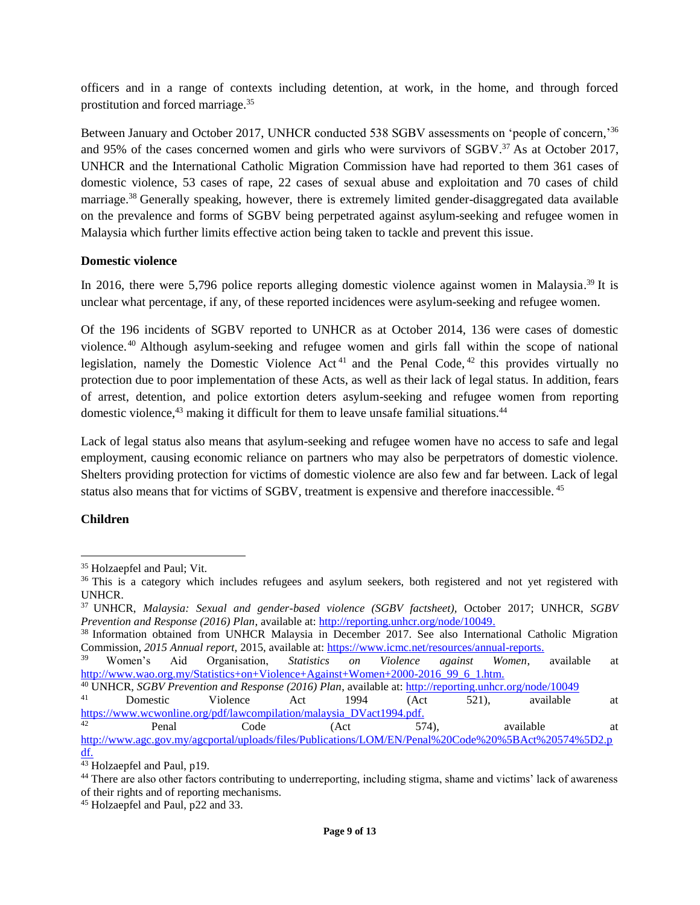officers and in a range of contexts including detention, at work, in the home, and through forced prostitution and forced marriage.<sup>35</sup>

Between January and October 2017, UNHCR conducted 538 SGBV assessments on 'people of concern,'<sup>36</sup> and 95% of the cases concerned women and girls who were survivors of SGBV. <sup>37</sup> As at October 2017, UNHCR and the International Catholic Migration Commission have had reported to them 361 cases of domestic violence, 53 cases of rape, 22 cases of sexual abuse and exploitation and 70 cases of child marriage.<sup>38</sup> Generally speaking, however, there is extremely limited gender-disaggregated data available on the prevalence and forms of SGBV being perpetrated against asylum-seeking and refugee women in Malaysia which further limits effective action being taken to tackle and prevent this issue.

#### **Domestic violence**

In 2016, there were 5,796 police reports alleging domestic violence against women in Malaysia.<sup>39</sup> It is unclear what percentage, if any, of these reported incidences were asylum-seeking and refugee women.

Of the 196 incidents of SGBV reported to UNHCR as at October 2014, 136 were cases of domestic violence. <sup>40</sup> Although asylum-seeking and refugee women and girls fall within the scope of national legislation, namely the Domestic Violence Act<sup>41</sup> and the Penal Code, <sup>42</sup> this provides virtually no protection due to poor implementation of these Acts, as well as their lack of legal status. In addition, fears of arrest, detention, and police extortion deters asylum-seeking and refugee women from reporting domestic violence, $43$  making it difficult for them to leave unsafe familial situations. $44$ 

Lack of legal status also means that asylum-seeking and refugee women have no access to safe and legal employment, causing economic reliance on partners who may also be perpetrators of domestic violence. Shelters providing protection for victims of domestic violence are also few and far between. Lack of legal status also means that for victims of SGBV, treatment is expensive and therefore inaccessible. <sup>45</sup>

#### **Children**

 $\overline{a}$ 

<sup>35</sup> Holzaepfel and Paul; Vit.

<sup>&</sup>lt;sup>36</sup> This is a category which includes refugees and asylum seekers, both registered and not yet registered with UNHCR.

<sup>37</sup> UNHCR, *Malaysia: Sexual and gender-based violence (SGBV factsheet),* October 2017; UNHCR, *SGBV Prevention and Response (2016) Plan*, available at: [http://reporting.unhcr.org/node/10049.](http://reporting.unhcr.org/node/10049)

<sup>38</sup> Information obtained from UNHCR Malaysia in December 2017. See also International Catholic Migration Commission, *2015 Annual report,* 2015, available at: [https://www.icmc.net/resources/annual-reports.](https://www.icmc.net/resources/annual-reports)

<sup>39</sup> Women's Aid Organisation, *Statistics on Violence against Women*, available at [http://www.wao.org.my/Statistics+on+Violence+Against+Women+2000-2016\\_99\\_6\\_1.htm.](http://www.wao.org.my/Statistics+on+Violence+Against+Women+2000-2016_99_6_1.htm)

<sup>40</sup> UNHCR, *SGBV Prevention and Response (2016) Plan*, available at:<http://reporting.unhcr.org/node/10049>

<sup>41</sup> Domestic Violence Act 1994 (Act 521), available at [https://www.wcwonline.org/pdf/lawcompilation/malaysia\\_DVact1994.pdf.](https://www.wcwonline.org/pdf/lawcompilation/malaysia_DVact1994.pdf) <sup>42</sup> Penal Code (Act 574), available at

[http://www.agc.gov.my/agcportal/uploads/files/Publications/LOM/EN/Penal%20Code%20%5BAct%20574%5D2.p](http://www.agc.gov.my/agcportal/uploads/files/Publications/LOM/EN/Penal%20Code%20%5BAct%20574%5D2.pdf) [df.](http://www.agc.gov.my/agcportal/uploads/files/Publications/LOM/EN/Penal%20Code%20%5BAct%20574%5D2.pdf)

<sup>43</sup> Holzaepfel and Paul, p19.

<sup>&</sup>lt;sup>44</sup> There are also other factors contributing to underreporting, including stigma, shame and victims' lack of awareness of their rights and of reporting mechanisms.

<sup>45</sup> Holzaepfel and Paul, p22 and 33.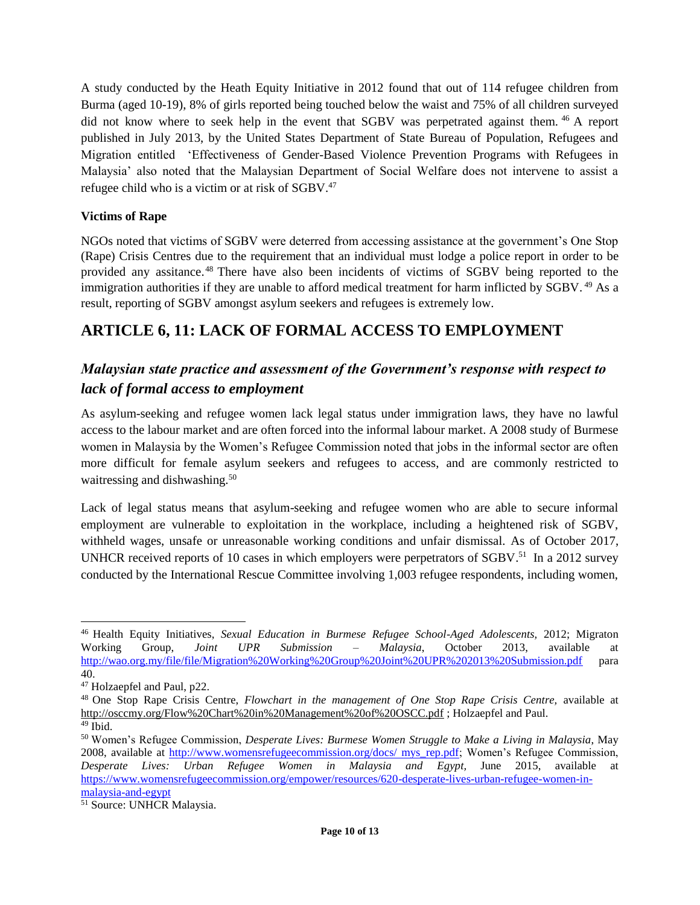A study conducted by the Heath Equity Initiative in 2012 found that out of 114 refugee children from Burma (aged 10-19), 8% of girls reported being touched below the waist and 75% of all children surveyed did not know where to seek help in the event that SGBV was perpetrated against them. <sup>46</sup> A report published in July 2013, by the United States Department of State Bureau of Population, Refugees and Migration entitled 'Effectiveness of Gender-Based Violence Prevention Programs with Refugees in Malaysia' also noted that the Malaysian Department of Social Welfare does not intervene to assist a refugee child who is a victim or at risk of SGBV.<sup>47</sup>

### **Victims of Rape**

NGOs noted that victims of SGBV were deterred from accessing assistance at the government's One Stop (Rape) Crisis Centres due to the requirement that an individual must lodge a police report in order to be provided any assitance.<sup>48</sup> There have also been incidents of victims of SGBV being reported to the immigration authorities if they are unable to afford medical treatment for harm inflicted by SGBV.<sup>49</sup> As a result, reporting of SGBV amongst asylum seekers and refugees is extremely low.

## **ARTICLE 6, 11: LACK OF FORMAL ACCESS TO EMPLOYMENT**

### *Malaysian state practice and assessment of the Government's response with respect to lack of formal access to employment*

As asylum-seeking and refugee women lack legal status under immigration laws, they have no lawful access to the labour market and are often forced into the informal labour market. A 2008 study of Burmese women in Malaysia by the Women's Refugee Commission noted that jobs in the informal sector are often more difficult for female asylum seekers and refugees to access, and are commonly restricted to waitressing and dishwashing.<sup>50</sup>

Lack of legal status means that asylum-seeking and refugee women who are able to secure informal employment are vulnerable to exploitation in the workplace, including a heightened risk of SGBV, withheld wages, unsafe or unreasonable working conditions and unfair dismissal. As of October 2017, UNHCR received reports of 10 cases in which employers were perpetrators of SGBV.<sup>51</sup> In a 2012 survey conducted by the International Rescue Committee involving 1,003 refugee respondents, including women,

<sup>46</sup> Health Equity Initiatives, *Sexual Education in Burmese Refugee School-Aged Adolescents,* 2012; Migraton Working Group, *Joint UPR Submission – Malaysia*, October 2013, available at <http://wao.org.my/file/file/Migration%20Working%20Group%20Joint%20UPR%202013%20Submission.pdf> para 40.

<sup>47</sup> Holzaepfel and Paul, p22.

<sup>48</sup> One Stop Rape Crisis Centre, *Flowchart in the management of One Stop Rape Crisis Centre,* available at <http://osccmy.org/Flow%20Chart%20in%20Management%20of%20OSCC.pdf> ; Holzaepfel and Paul. <sup>49</sup> Ibid.

<sup>50</sup> Women's Refugee Commission, *Desperate Lives: Burmese Women Struggle to Make a Living in Malaysia*, May 2008, available at [http://www.womensrefugeecommission.org/docs/ mys\\_rep.pdf;](http://www.womensrefugeecommission.org/docs/%20mys_rep.pdf) Women's Refugee Commission, *Desperate Lives: Urban Refugee Women in Malaysia and Egypt,* June 2015, available at [https://www.womensrefugeecommission.org/empower/resources/620-desperate-lives-urban-refugee-women-in](https://www.womensrefugeecommission.org/empower/resources/620-desperate-lives-urban-refugee-women-in-malaysia-and-egypt)[malaysia-and-egypt](https://www.womensrefugeecommission.org/empower/resources/620-desperate-lives-urban-refugee-women-in-malaysia-and-egypt)

<sup>&</sup>lt;sup>51</sup> Source: UNHCR Malaysia.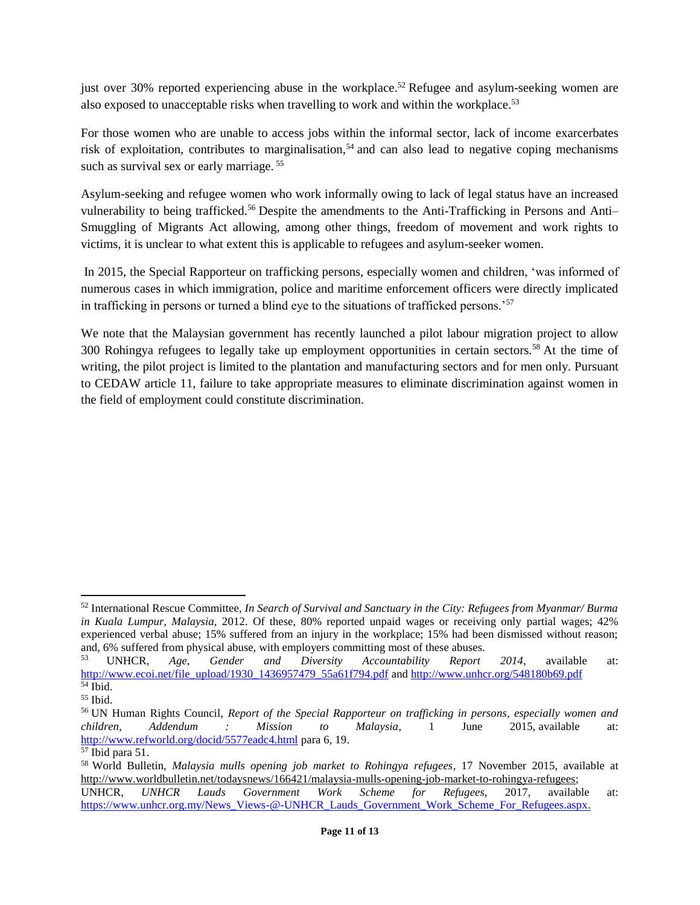just over 30% reported experiencing abuse in the workplace.<sup>52</sup> Refugee and asylum-seeking women are also exposed to unacceptable risks when travelling to work and within the workplace.<sup>53</sup>

For those women who are unable to access jobs within the informal sector, lack of income exarcerbates risk of exploitation, contributes to marginalisation,<sup>54</sup> and can also lead to negative coping mechanisms such as survival sex or early marriage.<sup>55</sup>

Asylum-seeking and refugee women who work informally owing to lack of legal status have an increased vulnerability to being trafficked.<sup>56</sup> Despite the amendments to the Anti-Trafficking in Persons and Anti-Smuggling of Migrants Act allowing, among other things, freedom of movement and work rights to victims, it is unclear to what extent this is applicable to refugees and asylum-seeker women.

In 2015, the Special Rapporteur on trafficking persons, especially women and children, 'was informed of numerous cases in which immigration, police and maritime enforcement officers were directly implicated in trafficking in persons or turned a blind eye to the situations of trafficked persons.'<sup>57</sup>

We note that the Malaysian government has recently launched a pilot labour migration project to allow 300 Rohingya refugees to legally take up employment opportunities in certain sectors.<sup>58</sup> At the time of writing, the pilot project is limited to the plantation and manufacturing sectors and for men only. Pursuant to CEDAW article 11, failure to take appropriate measures to eliminate discrimination against women in the field of employment could constitute discrimination.

 $\overline{a}$ 

<sup>52</sup> International Rescue Committee*, In Search of Survival and Sanctuary in the City: Refugees from Myanmar/ Burma in Kuala Lumpur, Malaysia,* 2012. Of these, 80% reported unpaid wages or receiving only partial wages; 42% experienced verbal abuse; 15% suffered from an injury in the workplace; 15% had been dismissed without reason; and, 6% suffered from physical abuse, with employers committing most of these abuses.

<sup>53</sup> UNHCR, *Age, Gender and Diversity Accountability Report 2014*, available at: [http://www.ecoi.net/file\\_upload/1930\\_1436957479\\_55a61f794.pdf](http://www.ecoi.net/file_upload/1930_1436957479_55a61f794.pdf) an[d http://www.unhcr.org/548180b69.pdf](http://www.unhcr.org/548180b69.pdf)  $\overline{54}$  Ibid.

<sup>55</sup> Ibid.

<sup>56</sup> UN Human Rights Council, *Report of the Special Rapporteur on trafficking in persons, especially women and children, Addendum : Mission to Malaysia*, 1 June 2015, available at: <http://www.refworld.org/docid/5577eadc4.html> para 6, 19.

 $57$  Ibid para 51.

<sup>58</sup> World Bulletin, *Malaysia mulls opening job market to Rohingya refugees*, 17 November 2015, available at [http://www.worldbulletin.net/todaysnews/166421/malaysia-mulls-opening-job-market-to-rohingya-refugees;](http://www.worldbulletin.net/todaysnews/166421/malaysia-mulls-opening-job-market-to-rohingya-refugees)

UNHCR, *UNHCR Lauds Government Work Scheme for Refugees,* 2017, available at: [https://www.unhcr.org.my/News\\_Views-@-UNHCR\\_Lauds\\_Government\\_Work\\_Scheme\\_For\\_Refugees.aspx.](https://www.unhcr.org.my/News_Views-@-UNHCR_Lauds_Government_Work_Scheme_For_Refugees.aspx)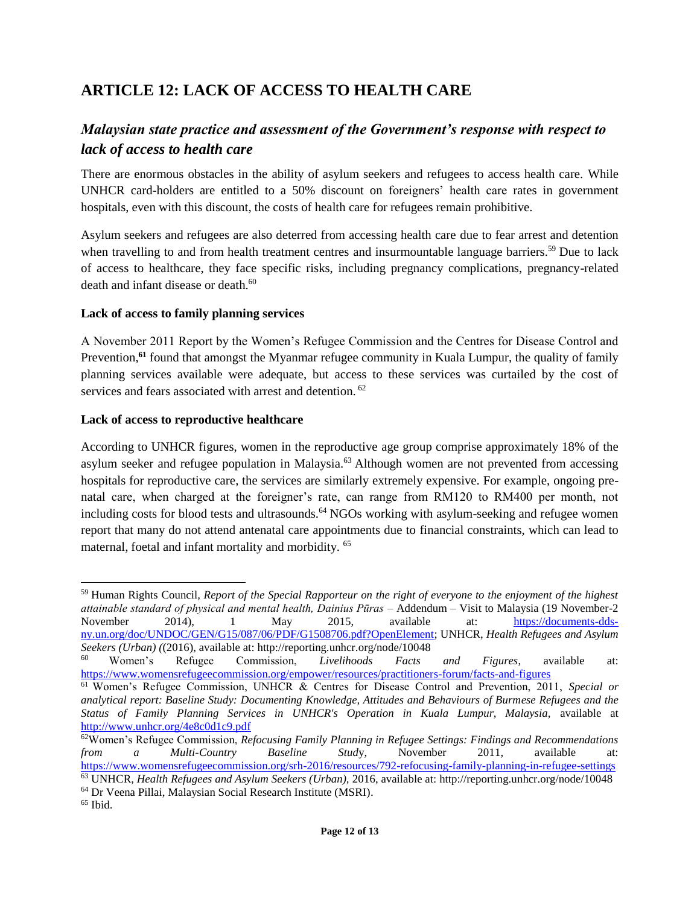# **ARTICLE 12: LACK OF ACCESS TO HEALTH CARE**

### *Malaysian state practice and assessment of the Government's response with respect to lack of access to health care*

There are enormous obstacles in the ability of asylum seekers and refugees to access health care. While UNHCR card-holders are entitled to a 50% discount on foreigners' health care rates in government hospitals, even with this discount, the costs of health care for refugees remain prohibitive.

Asylum seekers and refugees are also deterred from accessing health care due to fear arrest and detention when travelling to and from health treatment centres and insurmountable language barriers.<sup>59</sup> Due to lack of access to healthcare, they face specific risks, including pregnancy complications, pregnancy-related death and infant disease or death.<sup>60</sup>

#### **Lack of access to family planning services**

A November 2011 Report by the Women's Refugee Commission and the Centres for Disease Control and Prevention,<sup>61</sup> found that amongst the Myanmar refugee community in Kuala Lumpur, the quality of family planning services available were adequate, but access to these services was curtailed by the cost of services and fears associated with arrest and detention. <sup>62</sup>

#### **Lack of access to reproductive healthcare**

According to UNHCR figures, women in the reproductive age group comprise approximately 18% of the asylum seeker and refugee population in Malaysia.<sup>63</sup> Although women are not prevented from accessing hospitals for reproductive care, the services are similarly extremely expensive. For example, ongoing prenatal care, when charged at the foreigner's rate, can range from RM120 to RM400 per month, not including costs for blood tests and ultrasounds.<sup>64</sup> NGOs working with asylum-seeking and refugee women report that many do not attend antenatal care appointments due to financial constraints, which can lead to maternal, foetal and infant mortality and morbidity. <sup>65</sup>

<sup>59</sup> Human Rights Council*, Report of the Special Rapporteur on the right of everyone to the enjoyment of the highest attainable standard of physical and mental health, Dainius Pūras* – Addendum – Visit to Malaysia (19 November-2 November 2014), 1 May 2015, available at: [https://documents-dds](https://documents-dds-ny.un.org/doc/UNDOC/GEN/G15/087/06/PDF/G1508706.pdf?OpenElement)[ny.un.org/doc/UNDOC/GEN/G15/087/06/PDF/G1508706.pdf?OpenElement;](https://documents-dds-ny.un.org/doc/UNDOC/GEN/G15/087/06/PDF/G1508706.pdf?OpenElement) UNHCR, *Health Refugees and Asylum Seekers (Urban) (*(2016), available at: http://reporting.unhcr.org/node/10048

<sup>60</sup> Women's Refugee Commission, *Livelihoods Facts and Figures*, available at: <https://www.womensrefugeecommission.org/empower/resources/practitioners-forum/facts-and-figures>

<sup>61</sup> Women's Refugee Commission, UNHCR & Centres for Disease Control and Prevention, 2011, *Special or analytical report: Baseline Study: Documenting Knowledge, Attitudes and Behaviours of Burmese Refugees and the Status of Family Planning Services in UNHCR's Operation in Kuala Lumpur, Malaysia,* available at <http://www.unhcr.org/4e8c0d1c9.pdf>

<sup>62</sup>Women's Refugee Commission, *Refocusing Family Planning in Refugee Settings: Findings and Recommendations from a Multi-Country Baseline Stud*y, November 2011, available at: <https://www.womensrefugeecommission.org/srh-2016/resources/792-refocusing-family-planning-in-refugee-settings> <sup>63</sup> UNHCR, *Health Refugees and Asylum Seekers (Urban),* 2016, available at: http://reporting.unhcr.org/node/10048

<sup>64</sup> Dr Veena Pillai, Malaysian Social Research Institute (MSRI).

<sup>65</sup> Ibid.